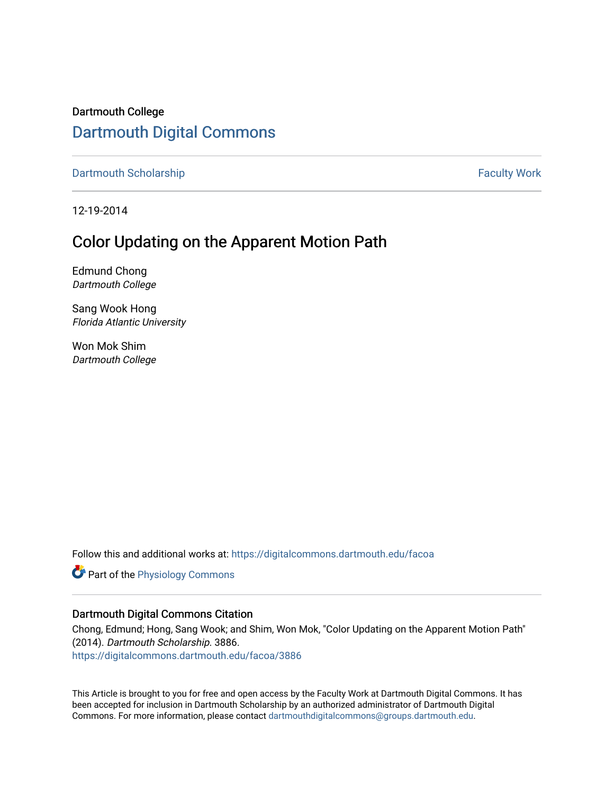Dartmouth College [Dartmouth Digital Commons](https://digitalcommons.dartmouth.edu/) 

[Dartmouth Scholarship](https://digitalcommons.dartmouth.edu/facoa) Faculty Work

12-19-2014

## Color Updating on the Apparent Motion Path

Edmund Chong Dartmouth College

Sang Wook Hong Florida Atlantic University

Won Mok Shim Dartmouth College

Follow this and additional works at: [https://digitalcommons.dartmouth.edu/facoa](https://digitalcommons.dartmouth.edu/facoa?utm_source=digitalcommons.dartmouth.edu%2Ffacoa%2F3886&utm_medium=PDF&utm_campaign=PDFCoverPages)

**Part of the [Physiology Commons](http://network.bepress.com/hgg/discipline/69?utm_source=digitalcommons.dartmouth.edu%2Ffacoa%2F3886&utm_medium=PDF&utm_campaign=PDFCoverPages)** 

#### Dartmouth Digital Commons Citation

Chong, Edmund; Hong, Sang Wook; and Shim, Won Mok, "Color Updating on the Apparent Motion Path" (2014). Dartmouth Scholarship. 3886.

[https://digitalcommons.dartmouth.edu/facoa/3886](https://digitalcommons.dartmouth.edu/facoa/3886?utm_source=digitalcommons.dartmouth.edu%2Ffacoa%2F3886&utm_medium=PDF&utm_campaign=PDFCoverPages) 

This Article is brought to you for free and open access by the Faculty Work at Dartmouth Digital Commons. It has been accepted for inclusion in Dartmouth Scholarship by an authorized administrator of Dartmouth Digital Commons. For more information, please contact [dartmouthdigitalcommons@groups.dartmouth.edu](mailto:dartmouthdigitalcommons@groups.dartmouth.edu).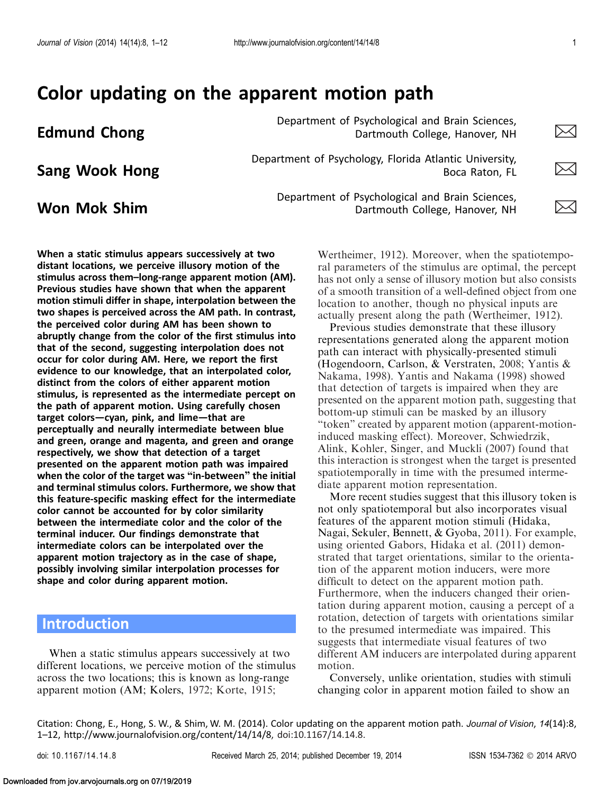# Color updating on the apparent motion path

**Edmund Chong Edmund Chong Edmund Chong Edmund Chong Brain Sciences**, **Edmund Chong Brain Sciences**, **Edmund Chong Brain Sciences**, **Edmund Chong Brain Sciences**, **Edmund 2016** Dartmouth College, Hanover, NH

Department of Psychology, Florida Atlantic University,<br>Boca Raton, FL Boca Raton, FL Boca Raton, FL

When a static stimulus appears successively at two distant locations, we perceive illusory motion of the stimulus across them–long-range apparent motion (AM). Previous studies have shown that when the apparent motion stimuli differ in shape, interpolation between the two shapes is perceived across the AM path. In contrast, the perceived color during AM has been shown to abruptly change from the color of the first stimulus into that of the second, suggesting interpolation does not occur for color during AM. Here, we report the first evidence to our knowledge, that an interpolated color, distinct from the colors of either apparent motion stimulus, is represented as the intermediate percept on the path of apparent motion. Using carefully chosen

target colors—cyan, pink, and lime—that are

shape and color during apparent motion.

When a static stimulus appears successively at two different locations, we perceive motion of the stimulus across the two locations; this is known as long-range apparent motion (AM; Kolers, [1972](#page-12-0); Korte, [1915;](#page-12-0)

respectively, we show that detection of a target presented on the apparent motion path was impaired when the color of the target was "in-between" the initial and terminal stimulus colors. Furthermore, we show that this feature-specific masking effect for the intermediate color cannot be accounted for by color similarity between the intermediate color and the color of the terminal inducer. Our findings demonstrate that intermediate colors can be interpolated over the apparent motion trajectory as in the case of shape, possibly involving similar interpolation processes for

perceptually and neurally intermediate between blue and green, orange and magenta, and green and orange

**Won Mok Shim**  $\sum_{\text{Department of \text{Psychological and Brain Sciences,}}$ Dartmouth College, Hanover, NH



Wertheimer, [1912\)](#page-12-0). Moreover, when the spatiotemporal parameters of the stimulus are optimal, the percept has not only a sense of illusory motion but also consists of a smooth transition of a well-defined object from one location to another, though no physical inputs are actually present along the path (Wertheimer, [1912\)](#page-12-0).

Previous studies demonstrate that these illusory representations generated along the apparent motion path can interact with physically-presented stimuli (Hogendoorn, Carlson, & Verstraten, [2008;](#page-12-0) Yantis & Nakama, [1998\)](#page-12-0). Yantis and Nakama ([1998\)](#page-12-0) showed that detection of targets is impaired when they are presented on the apparent motion path, suggesting that bottom-up stimuli can be masked by an illusory ''token'' created by apparent motion (apparent-motioninduced masking effect). Moreover, Schwiedrzik, Alink, Kohler, Singer, and Muckli [\(2007\)](#page-12-0) found that this interaction is strongest when the target is presented spatiotemporally in time with the presumed intermediate apparent motion representation.

More recent studies suggest that this illusory token is not only spatiotemporal but also incorporates visual features of the apparent motion stimuli (Hidaka, Nagai, Sekuler, Bennett, & Gyoba, [2011](#page-11-0)). For example, using oriented Gabors, Hidaka et al. ([2011](#page-11-0)) demonstrated that target orientations, similar to the orientation of the apparent motion inducers, were more difficult to detect on the apparent motion path. Furthermore, when the inducers changed their orientation during apparent motion, causing a percept of a rotation, detection of targets with orientations similar to the presumed intermediate was impaired. This suggests that intermediate visual features of two different AM inducers are interpolated during apparent motion.

Conversely, unlike orientation, studies with stimuli changing color in apparent motion failed to show an

Citation: Chong, E., Hong, S. W., & Shim, W. M. (2014). Color updating on the apparent motion path. Journal of Vision, 14(14):8, 1–12, http://www.journalofvision.org/content/14/14/8, doi:10.1167/14.14.8.

**Introduction** 

Downloaded from jov.arvojournals.org on 07/19/2019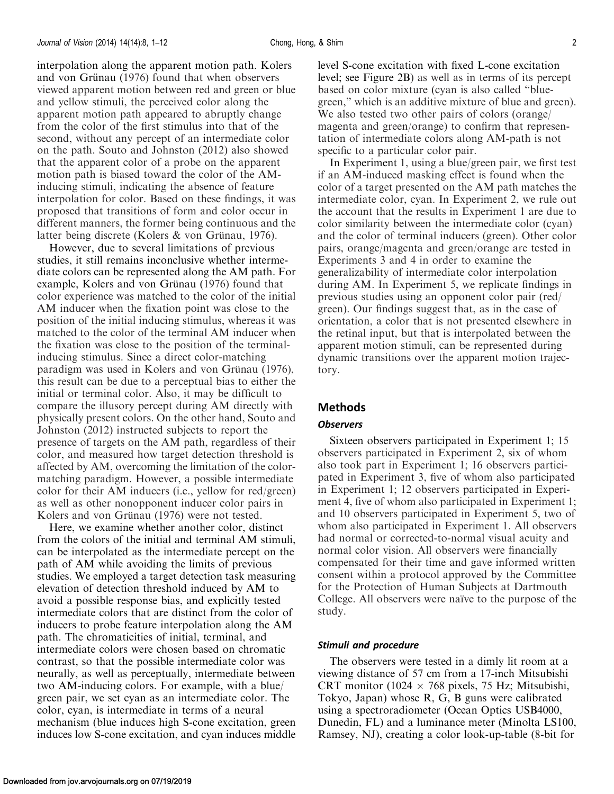interpolation along the apparent motion path. Kolers and von Grünau ([1976\)](#page-12-0) found that when observers viewed apparent motion between red and green or blue and yellow stimuli, the perceived color along the apparent motion path appeared to abruptly change from the color of the first stimulus into that of the second, without any percept of an intermediate color on the path. Souto and Johnston ([2012](#page-12-0)) also showed that the apparent color of a probe on the apparent motion path is biased toward the color of the AMinducing stimuli, indicating the absence of feature interpolation for color. Based on these findings, it was proposed that transitions of form and color occur in different manners, the former being continuous and the latter being discrete (Kolers & von Grünau, [1976](#page-12-0)).

However, due to several limitations of previous studies, it still remains inconclusive whether intermediate colors can be represented along the AM path. For example, Kolers and von Grünau [\(1976\)](#page-12-0) found that color experience was matched to the color of the initial AM inducer when the fixation point was close to the position of the initial inducing stimulus, whereas it was matched to the color of the terminal AM inducer when the fixation was close to the position of the terminalinducing stimulus. Since a direct color-matching paradigm was used in Kolers and von Grünau ([1976\)](#page-12-0), this result can be due to a perceptual bias to either the initial or terminal color. Also, it may be difficult to compare the illusory percept during AM directly with physically present colors. On the other hand, Souto and Johnston [\(2012](#page-12-0)) instructed subjects to report the presence of targets on the AM path, regardless of their color, and measured how target detection threshold is affected by AM, overcoming the limitation of the colormatching paradigm. However, a possible intermediate color for their AM inducers (i.e., yellow for red/green) as well as other nonopponent inducer color pairs in Kolers and von Grünau ([1976\)](#page-12-0) were not tested.

Here, we examine whether another color, distinct from the colors of the initial and terminal AM stimuli, can be interpolated as the intermediate percept on the path of AM while avoiding the limits of previous studies. We employed a target detection task measuring elevation of detection threshold induced by AM to avoid a possible response bias, and explicitly tested intermediate colors that are distinct from the color of inducers to probe feature interpolation along the AM path. The chromaticities of initial, terminal, and intermediate colors were chosen based on chromatic contrast, so that the possible intermediate color was neurally, as well as perceptually, intermediate between two AM-inducing colors. For example, with a blue/ green pair, we set cyan as an intermediate color. The color, cyan, is intermediate in terms of a neural mechanism (blue induces high S-cone excitation, green induces low S-cone excitation, and cyan induces middle level S-cone excitation with fixed L-cone excitation level; see [Figure 2B](#page-4-0)) as well as in terms of its percept based on color mixture (cyan is also called ''bluegreen,'' which is an additive mixture of blue and green). We also tested two other pairs of colors (orange/ magenta and green/orange) to confirm that representation of intermediate colors along AM-path is not specific to a particular color pair.

In [Experiment 1,](#page-4-0) using a blue/green pair, we first test if an AM-induced masking effect is found when the color of a target presented on the AM path matches the intermediate color, cyan. In [Experiment 2,](#page-5-0) we rule out the account that the results in [Experiment 1](#page-4-0) are due to color similarity between the intermediate color (cyan) and the color of terminal inducers (green). Other color pairs, orange/magenta and green/orange are tested in [Experiment](#page-8-0)s 3 and [4](#page-7-0) in order to examine the generalizability of intermediate color interpolation during AM. In [Experiment 5,](#page-8-0) we replicate findings in previous studies using an opponent color pair (red/ green). Our findings suggest that, as in the case of orientation, a color that is not presented elsewhere in the retinal input, but that is interpolated between the apparent motion stimuli, can be represented during dynamic transitions over the apparent motion trajectory.

#### Methods

#### **Observers**

Sixteen observers participated in [Experiment 1;](#page-4-0) 15 observers participated in [Experiment 2](#page-5-0), six of whom also took part in [Experiment 1;](#page-4-0) 16 observers participated in [Experiment 3,](#page-6-0) five of whom also participated in [Experiment 1](#page-4-0); 12 observers participated in [Experi](#page-7-0)[ment 4,](#page-7-0) five of whom also participated in [Experiment 1](#page-4-0); and 10 observers participated in [Experiment 5](#page-8-0), two of whom also participated in [Experiment 1.](#page-4-0) All observers had normal or corrected-to-normal visual acuity and normal color vision. All observers were financially compensated for their time and gave informed written consent within a protocol approved by the Committee for the Protection of Human Subjects at Dartmouth College. All observers were naïve to the purpose of the study.

#### Stimuli and procedure

The observers were tested in a dimly lit room at a viewing distance of 57 cm from a 17-inch Mitsubishi CRT monitor (1024  $\times$  768 pixels, 75 Hz; Mitsubishi, Tokyo, Japan) whose R, G, B guns were calibrated using a spectroradiometer (Ocean Optics USB4000, Dunedin, FL) and a luminance meter (Minolta LS100, Ramsey, NJ), creating a color look-up-table (8-bit for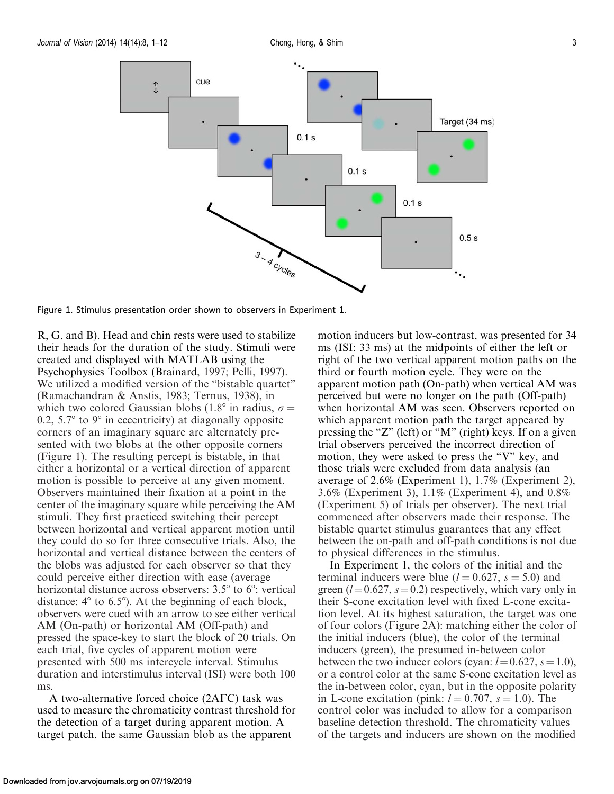

Figure 1. Stimulus presentation order shown to observers in [Experiment 1](#page-4-0).

R, G, and B). Head and chin rests were used to stabilize their heads for the duration of the study. Stimuli were created and displayed with MATLAB using the Psychophysics Toolbox (Brainard, [1997](#page-11-0); Pelli, [1997](#page-12-0)). We utilized a modified version of the "bistable quartet" (Ramachandran & Anstis, [1983;](#page-12-0) Ternus, [1938\)](#page-12-0), in which two colored Gaussian blobs (1.8° in radius,  $\sigma =$ 0.2, 5.7 $\degree$  to 9 $\degree$  in eccentricity) at diagonally opposite corners of an imaginary square are alternately presented with two blobs at the other opposite corners (Figure 1). The resulting percept is bistable, in that either a horizontal or a vertical direction of apparent motion is possible to perceive at any given moment. Observers maintained their fixation at a point in the center of the imaginary square while perceiving the AM stimuli. They first practiced switching their percept between horizontal and vertical apparent motion until they could do so for three consecutive trials. Also, the horizontal and vertical distance between the centers of the blobs was adjusted for each observer so that they could perceive either direction with ease (average horizontal distance across observers:  $3.5^{\circ}$  to  $6^{\circ}$ ; vertical distance:  $4^{\circ}$  to 6.5°). At the beginning of each block, observers were cued with an arrow to see either vertical AM (On-path) or horizontal AM (Off-path) and pressed the space-key to start the block of 20 trials. On each trial, five cycles of apparent motion were presented with 500 ms intercycle interval. Stimulus duration and interstimulus interval (ISI) were both 100 ms.

A two-alternative forced choice (2AFC) task was used to measure the chromaticity contrast threshold for the detection of a target during apparent motion. A target patch, the same Gaussian blob as the apparent

motion inducers but low-contrast, was presented for 34 ms (ISI: 33 ms) at the midpoints of either the left or right of the two vertical apparent motion paths on the third or fourth motion cycle. They were on the apparent motion path (On-path) when vertical AM was perceived but were no longer on the path (Off-path) when horizontal AM was seen. Observers reported on which apparent motion path the target appeared by pressing the "Z" (left) or "M" (right) keys. If on a given trial observers perceived the incorrect direction of motion, they were asked to press the ''V'' key, and those trials were excluded from data analysis (an average of 2.6% ([Experiment 1](#page-4-0)), 1.7% ([Experiment 2](#page-5-0)), 3.6% [\(Experiment 3\)](#page-6-0), 1.1% [\(Experiment 4\)](#page-7-0), and 0.8% ([Experiment 5](#page-8-0)) of trials per observer). The next trial commenced after observers made their response. The bistable quartet stimulus guarantees that any effect between the on-path and off-path conditions is not due to physical differences in the stimulus.

In [Experiment 1](#page-4-0), the colors of the initial and the terminal inducers were blue ( $l = 0.627$ ,  $s = 5.0$ ) and green ( $l=0.627$ ,  $s=0.2$ ) respectively, which vary only in their S-cone excitation level with fixed L-cone excitation level. At its highest saturation, the target was one of four colors ([Figure 2A](#page-4-0)): matching either the color of the initial inducers (blue), the color of the terminal inducers (green), the presumed in-between color between the two inducer colors (cyan:  $l=0.627$ ,  $s=1.0$ ), or a control color at the same S-cone excitation level as the in-between color, cyan, but in the opposite polarity in L-cone excitation (pink:  $l = 0.707$ ,  $s = 1.0$ ). The control color was included to allow for a comparison baseline detection threshold. The chromaticity values of the targets and inducers are shown on the modified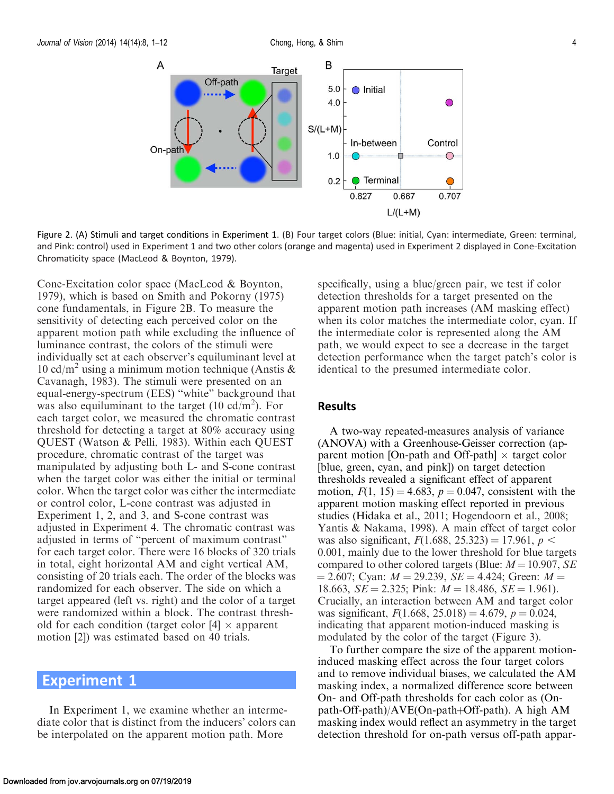<span id="page-4-0"></span>

Figure 2. (A) Stimuli and target conditions in Experiment 1. (B) Four target colors (Blue: initial, Cyan: intermediate, Green: terminal, and Pink: control) used in Experiment 1 and two other colors (orange and magenta) used in [Experiment 2](#page-5-0) displayed in Cone-Excitation Chromaticity space (MacLeod & Boynton, [1979\)](#page-12-0).

Cone-Excitation color space (MacLeod & Boynton, [1979\)](#page-12-0), which is based on Smith and Pokorny ([1975\)](#page-12-0) cone fundamentals, in Figure 2B. To measure the sensitivity of detecting each perceived color on the apparent motion path while excluding the influence of luminance contrast, the colors of the stimuli were individually set at each observer's equiluminant level at 10 cd/m<sup>2</sup> using a minimum motion technique (Anstis  $\&$ Cavanagh, [1983\)](#page-11-0). The stimuli were presented on an equal-energy-spectrum (EES) ''white'' background that was also equiluminant to the target (10  $cd/m^2$ ). For each target color, we measured the chromatic contrast threshold for detecting a target at 80% accuracy using QUEST (Watson & Pelli, [1983](#page-12-0)). Within each QUEST procedure, chromatic contrast of the target was manipulated by adjusting both L- and S-cone contrast when the target color was either the initial or terminal color. When the target color was either the intermediate or control color, L-cone contrast was adjusted in Experiment 1, [2](#page-5-0), and [3,](#page-6-0) and S-cone contrast was adjusted in [Experiment 4.](#page-7-0) The chromatic contrast was adjusted in terms of ''percent of maximum contrast'' for each target color. There were 16 blocks of 320 trials in total, eight horizontal AM and eight vertical AM, consisting of 20 trials each. The order of the blocks was randomized for each observer. The side on which a target appeared (left vs. right) and the color of a target were randomized within a block. The contrast threshold for each condition (target color  $[4] \times$  apparent motion [2]) was estimated based on 40 trials.

## Experiment 1

In Experiment 1, we examine whether an intermediate color that is distinct from the inducers' colors can be interpolated on the apparent motion path. More

specifically, using a blue/green pair, we test if color detection thresholds for a target presented on the apparent motion path increases (AM masking effect) when its color matches the intermediate color, cyan. If the intermediate color is represented along the AM path, we would expect to see a decrease in the target detection performance when the target patch's color is identical to the presumed intermediate color.

#### Results

A two-way repeated-measures analysis of variance (ANOVA) with a Greenhouse-Geisser correction (apparent motion [On-path and Off-path]  $\times$  target color [blue, green, cyan, and pink]) on target detection thresholds revealed a significant effect of apparent motion,  $F(1, 15) = 4.683$ ,  $p = 0.047$ , consistent with the apparent motion masking effect reported in previous studies (Hidaka et al., [2011](#page-11-0); Hogendoorn et al., [2008](#page-12-0); Yantis & Nakama, [1998](#page-12-0)). A main effect of target color was also significant,  $F(1.688, 25.323) = 17.961, p <$ 0.001, mainly due to the lower threshold for blue targets compared to other colored targets (Blue:  $M=10.907$ , SE  $\mu = 2.607$ ; Cyan:  $M = 29.239$ ,  $SE = 4.424$ ; Green:  $M =$ 18.663,  $SE = 2.325$ ; Pink:  $M = 18.486$ ,  $SE = 1.961$ . Crucially, an interaction between AM and target color was significant,  $F(1.668, 25.018) = 4.679$ ,  $p = 0.024$ , indicating that apparent motion-induced masking is modulated by the color of the target [\(Figure 3](#page-5-0)).

To further compare the size of the apparent motioninduced masking effect across the four target colors and to remove individual biases, we calculated the AM masking index, a normalized difference score between On- and Off-path thresholds for each color as (Onpath-Off-path)/ $AVE(On-path+Off-path)$ . A high AM masking index would reflect an asymmetry in the target detection threshold for on-path versus off-path appar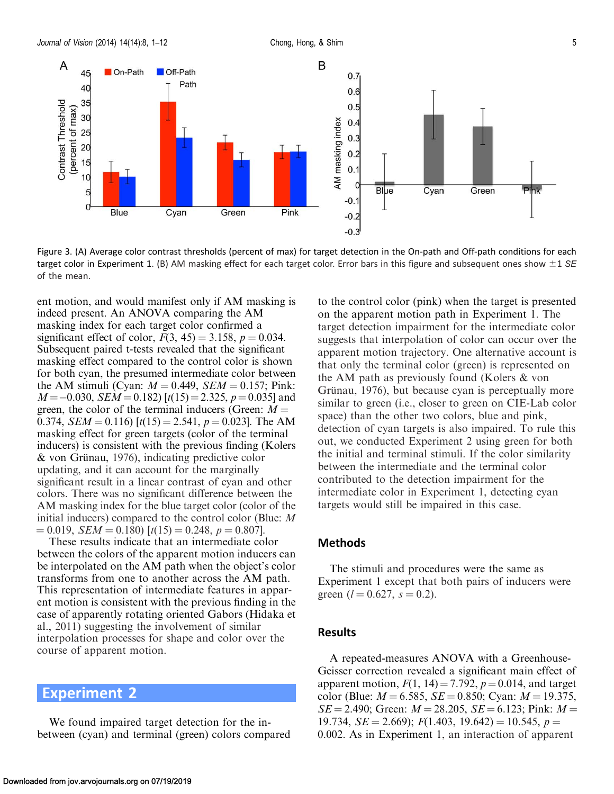Α

Contrast Threshold

<span id="page-5-0"></span>

 $-0.2$  $-0.3$ 

Figure 3. (A) Average color contrast thresholds (percent of max) for target detection in the On-path and Off-path conditions for each target color in [Experiment 1](#page-4-0). (B) AM masking effect for each target color. Error bars in this figure and subsequent ones show  $\pm 1$  SE of the mean.

ent motion, and would manifest only if AM masking is indeed present. An ANOVA comparing the AM masking index for each target color confirmed a significant effect of color,  $F(3, 45) = 3.158$ ,  $p = 0.034$ . Subsequent paired t-tests revealed that the significant masking effect compared to the control color is shown for both cyan, the presumed intermediate color between the AM stimuli (Cyan:  $M = 0.449$ ,  $SEM = 0.157$ ; Pink:  $M = -0.030, SEM = 0.182$  [t(15) = 2.325, p = 0.035] and green, the color of the terminal inducers (Green:  $M =$ 0.374,  $SEM = 0.116$  [ $t(15) = 2.541$ ,  $p = 0.023$ ]. The AM masking effect for green targets (color of the terminal inducers) is consistent with the previous finding (Kolers  $&$  von Grünau, [1976\)](#page-12-0), indicating predictive color updating, and it can account for the marginally significant result in a linear contrast of cyan and other colors. There was no significant difference between the AM masking index for the blue target color (color of the initial inducers) compared to the control color (Blue: M  $= 0.019$ ,  $SEM = 0.180$   $[t(15) = 0.248, p = 0.807]$ .

These results indicate that an intermediate color between the colors of the apparent motion inducers can be interpolated on the AM path when the object's color transforms from one to another across the AM path. This representation of intermediate features in apparent motion is consistent with the previous finding in the case of apparently rotating oriented Gabors (Hidaka et al., [2011\)](#page-11-0) suggesting the involvement of similar interpolation processes for shape and color over the course of apparent motion.

Experiment 2

We found impaired target detection for the inbetween (cyan) and terminal (green) colors compared to the control color (pink) when the target is presented on the apparent motion path in [Experiment 1.](#page-4-0) The target detection impairment for the intermediate color suggests that interpolation of color can occur over the apparent motion trajectory. One alternative account is that only the terminal color (green) is represented on the AM path as previously found (Kolers & von Grünau, [1976\)](#page-12-0), but because cyan is perceptually more similar to green (i.e., closer to green on CIE-Lab color space) than the other two colors, blue and pink, detection of cyan targets is also impaired. To rule this out, we conducted Experiment 2 using green for both the initial and terminal stimuli. If the color similarity between the intermediate and the terminal color contributed to the detection impairment for the intermediate color in [Experiment 1,](#page-4-0) detecting cyan targets would still be impaired in this case.

#### Methods

The stimuli and procedures were the same as [Experiment 1](#page-4-0) except that both pairs of inducers were green ( $l = 0.627$ ,  $s = 0.2$ ).

#### Results

A repeated-measures ANOVA with a Greenhouse-Geisser correction revealed a significant main effect of apparent motion,  $F(1, 14) = 7.792$ ,  $p = 0.014$ , and target color (Blue:  $M = 6.585$ ,  $SE = 0.850$ ; Cyan:  $M = 19.375$ ,  $SE = 2.490$ ; Green:  $M = 28.205$ ,  $SE = 6.123$ ; Pink:  $M =$ 19.734,  $SE = 2.669$ ;  $F(1.403, 19.642) = 10.545, p =$ 0.002. As in [Experiment 1,](#page-4-0) an interaction of apparent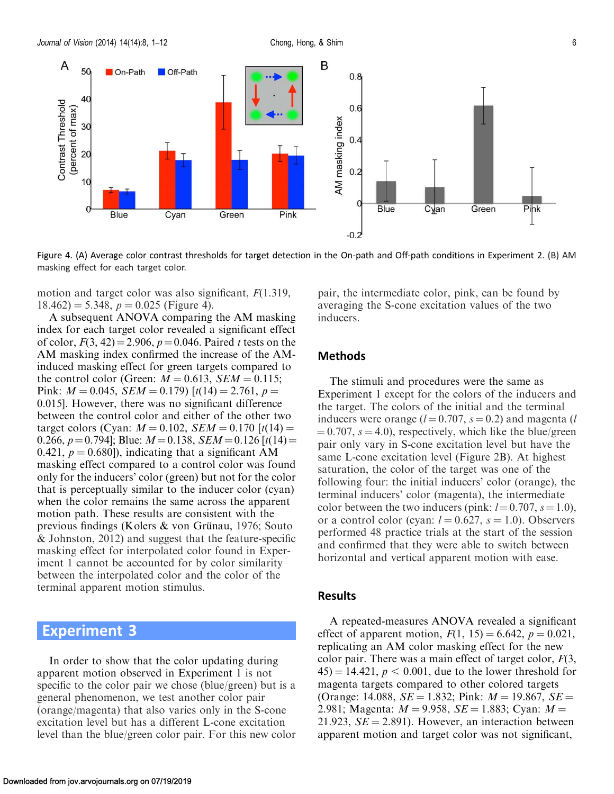<span id="page-6-0"></span>A

Contrast Threshold

(percent of max)

50

40

30

20

 $10$ 

 $\Omega$ 

**Blue** 



Blue

 $-0.2$ Figure 4. (A) Average color contrast thresholds for target detection in the On-path and Off-path conditions in [Experiment 2.](#page-5-0) (B) AM masking effect for each target color.

Pink

Green

motion and target color was also significant,  $F(1.319)$ ,  $18.462$ ) = 5.348,  $p = 0.025$  (Figure 4).

Cyan

A subsequent ANOVA comparing the AM masking index for each target color revealed a significant effect of color,  $F(3, 42) = 2.906$ ,  $p = 0.046$ . Paired t tests on the AM masking index confirmed the increase of the AMinduced masking effect for green targets compared to the control color (Green:  $M = 0.613$ ,  $SEM = 0.115$ ; Pink:  $M = 0.045$ ,  $SEM = 0.179$   $[t(14) = 2.761, p =$ 0.015]. However, there was no significant difference between the control color and either of the other two target colors (Cyan:  $M = 0.102$ ,  $SEM = 0.170$  [t(14) = 0.266,  $p = 0.794$ ; Blue:  $M = 0.138$ ,  $SEM = 0.126$  [t(14) = 0.421,  $p = 0.680$ , indicating that a significant AM masking effect compared to a control color was found only for the inducers' color (green) but not for the color that is perceptually similar to the inducer color (cyan) when the color remains the same across the apparent motion path. These results are consistent with the previous findings (Kolers  $&$  von Grünau, [1976](#page-12-0); Souto & Johnston, [2012\)](#page-12-0) and suggest that the feature-specific masking effect for interpolated color found in [Exper](#page-4-0)[iment 1](#page-4-0) cannot be accounted for by color similarity between the interpolated color and the color of the terminal apparent motion stimulus.

## Experiment 3

In order to show that the color updating during apparent motion observed in [Experiment 1](#page-4-0) is not specific to the color pair we chose (blue/green) but is a general phenomenon, we test another color pair (orange/magenta) that also varies only in the S-cone excitation level but has a different L-cone excitation level than the blue/green color pair. For this new color pair, the intermediate color, pink, can be found by averaging the S-cone excitation values of the two inducers.

Cyan

Green

#### Methods

The stimuli and procedures were the same as [Experiment 1](#page-4-0) except for the colors of the inducers and the target. The colors of the initial and the terminal inducers were orange ( $l = 0.707$ ,  $s = 0.2$ ) and magenta (l  $\mu = 0.707$ ,  $s = 4.0$ ), respectively, which like the blue/green pair only vary in S-cone excitation level but have the same L-cone excitation level [\(Figure 2B](#page-4-0)). At highest saturation, the color of the target was one of the following four: the initial inducers' color (orange), the terminal inducers' color (magenta), the intermediate color between the two inducers (pink:  $l = 0.707$ ,  $s = 1.0$ ), or a control color (cyan:  $l = 0.627$ ,  $s = 1.0$ ). Observers performed 48 practice trials at the start of the session and confirmed that they were able to switch between horizontal and vertical apparent motion with ease.

#### Results

A repeated-measures ANOVA revealed a significant effect of apparent motion,  $F(1, 15) = 6.642$ ,  $p = 0.021$ , replicating an AM color masking effect for the new color pair. There was a main effect of target color,  $F(3, 1)$  $(45) = 14.421$ ,  $p < 0.001$ , due to the lower threshold for magenta targets compared to other colored targets (Orange: 14.088,  $SE = 1.832$ ; Pink:  $M = 19.867$ ,  $SE =$ 2.981; Magenta:  $M = 9.958$ ,  $SE = 1.883$ ; Cyan:  $M =$ 21.923,  $SE = 2.891$ . However, an interaction between apparent motion and target color was not significant,

Pink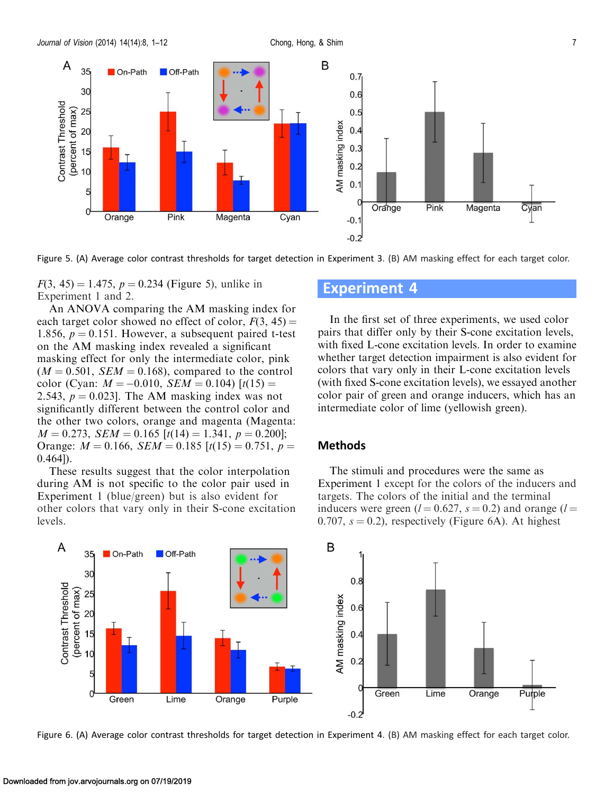<span id="page-7-0"></span>

Figure 5. (A) Average color contrast thresholds for target detection in [Experiment 3](#page-6-0). (B) AM masking effect for each target color.

 $F(3, 45) = 1.475$ ,  $p = 0.234$  (Figure 5), unlike in [Experiment 1](#page-4-0) and [2.](#page-5-0)

An ANOVA comparing the AM masking index for each target color showed no effect of color,  $F(3, 45) =$ 1.856,  $p = 0.151$ . However, a subsequent paired t-test on the AM masking index revealed a significant masking effect for only the intermediate color, pink  $(M = 0.501, SEM = 0.168)$ , compared to the control color (Cyan:  $M = -0.010$ ,  $SEM = 0.104$ )  $[t(15) =$ 2.543,  $p = 0.023$ . The AM masking index was not significantly different between the control color and the other two colors, orange and magenta (Magenta:  $M = 0.273$ ,  $SEM = 0.165$   $[t(14) = 1.341, p = 0.200]$ ; Orange:  $M = 0.166$ ,  $SEM = 0.185$  [t(15) = 0.751, p =  $(0.464)$ .

These results suggest that the color interpolation during AM is not specific to the color pair used in [Experiment 1](#page-4-0) (blue/green) but is also evident for other colors that vary only in their S-cone excitation levels.

## Experiment 4

In the first set of three experiments, we used color pairs that differ only by their S-cone excitation levels, with fixed L-cone excitation levels. In order to examine whether target detection impairment is also evident for colors that vary only in their L-cone excitation levels (with fixed S-cone excitation levels), we essayed another color pair of green and orange inducers, which has an intermediate color of lime (yellowish green).

#### Methods

The stimuli and procedures were the same as [Experiment 1](#page-4-0) except for the colors of the inducers and targets. The colors of the initial and the terminal inducers were green ( $l = 0.627$ ,  $s = 0.2$ ) and orange ( $l =$ 0.707,  $s = 0.2$ ), respectively (Figure 6A). At highest



Figure 6. (A) Average color contrast thresholds for target detection in Experiment 4. (B) AM masking effect for each target color.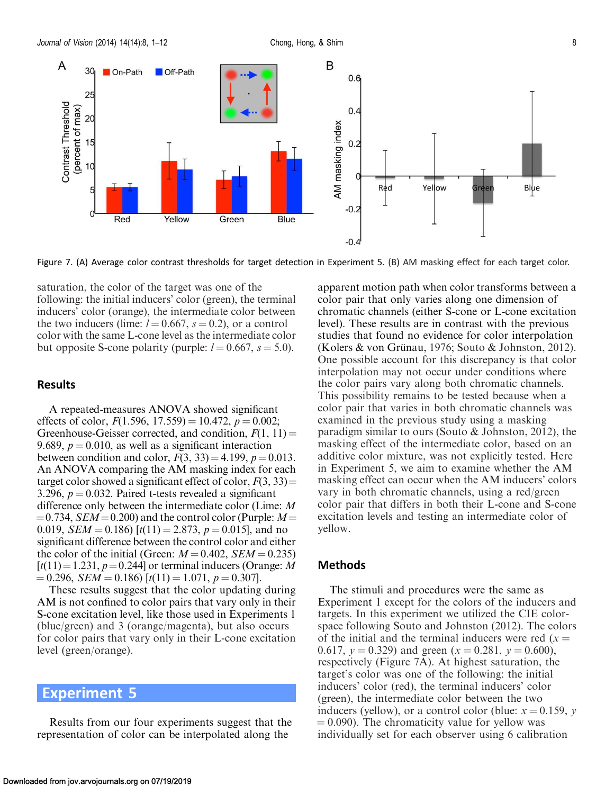<span id="page-8-0"></span>

Figure 7. (A) Average color contrast thresholds for target detection in Experiment 5. (B) AM masking effect for each target color.

saturation, the color of the target was one of the following: the initial inducers' color (green), the terminal inducers' color (orange), the intermediate color between the two inducers (lime:  $l = 0.667$ ,  $s = 0.2$ ), or a control color with the same L-cone level as the intermediate color but opposite S-cone polarity (purple:  $l = 0.667$ ,  $s = 5.0$ ).

#### Results

A repeated-measures ANOVA showed significant effects of color,  $F(1.596, 17.559) = 10.472$ ,  $p = 0.002$ ; Greenhouse-Geisser corrected, and condition,  $F(1, 11) =$ 9.689,  $p = 0.010$ , as well as a significant interaction between condition and color,  $F(3, 33) = 4.199$ ,  $p = 0.013$ . An ANOVA comparing the AM masking index for each target color showed a significant effect of color,  $F(3, 33) =$ 3.296,  $p = 0.032$ . Paired t-tests revealed a significant difference only between the intermediate color (Lime: M  $=0.734$ , SEM  $=0.200$ ) and the control color (Purple: M  $=$ 0.019,  $SEM = 0.186$  [t(11) = 2.873, p = 0.015], and no significant difference between the control color and either the color of the initial (Green:  $M = 0.402$ ,  $SEM = 0.235$ )  $[t(11) = 1.231, p = 0.244]$  or terminal inducers (Orange: M  $= 0.296$ ,  $SEM = 0.186$   $[t(11) = 1.071, p = 0.307]$ .

These results suggest that the color updating during AM is not confined to color pairs that vary only in their S-cone excitation level, like those used in [Experiments 1](#page-4-0) (blue/green) and [3](#page-6-0) (orange/magenta), but also occurs for color pairs that vary only in their L-cone excitation level (green/orange).

## Experiment 5

Results from our four experiments suggest that the representation of color can be interpolated along the

apparent motion path when color transforms between a color pair that only varies along one dimension of chromatic channels (either S-cone or L-cone excitation level). These results are in contrast with the previous studies that found no evidence for color interpolation (Kolers & von Grünau, [1976](#page-12-0); Souto & Johnston, [2012](#page-12-0)). One possible account for this discrepancy is that color interpolation may not occur under conditions where the color pairs vary along both chromatic channels. This possibility remains to be tested because when a color pair that varies in both chromatic channels was examined in the previous study using a masking paradigm similar to ours (Souto & Johnston, [2012](#page-12-0)), the masking effect of the intermediate color, based on an additive color mixture, was not explicitly tested. Here in Experiment 5, we aim to examine whether the AM masking effect can occur when the AM inducers' colors vary in both chromatic channels, using a red/green color pair that differs in both their L-cone and S-cone excitation levels and testing an intermediate color of yellow.

#### Methods

The stimuli and procedures were the same as [Experiment 1](#page-4-0) except for the colors of the inducers and targets. In this experiment we utilized the CIE colorspace following Souto and Johnston ([2012\)](#page-12-0). The colors of the initial and the terminal inducers were red  $(x =$ 0.617,  $y = 0.329$ ) and green ( $x = 0.281$ ,  $y = 0.600$ ), respectively (Figure 7A). At highest saturation, the target's color was one of the following: the initial inducers' color (red), the terminal inducers' color (green), the intermediate color between the two inducers (yellow), or a control color (blue:  $x = 0.159$ , y  $(0.090)$ . The chromaticity value for yellow was individually set for each observer using 6 calibration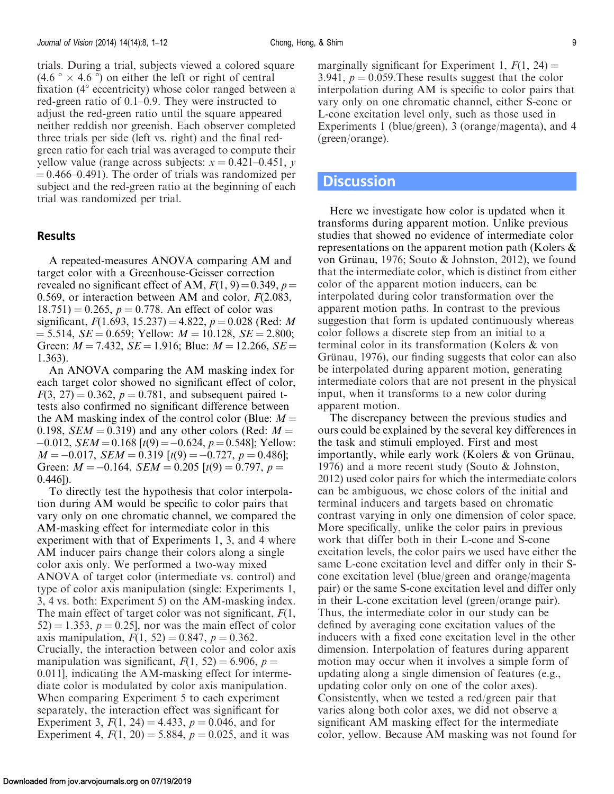trials. During a trial, subjects viewed a colored square  $(4.6 \degree \times 4.6 \degree)$  on either the left or right of central fixation  $(4^{\circ}$  eccentricity) whose color ranged between a red-green ratio of 0.1–0.9. They were instructed to adjust the red-green ratio until the square appeared neither reddish nor greenish. Each observer completed three trials per side (left vs. right) and the final redgreen ratio for each trial was averaged to compute their yellow value (range across subjects:  $x = 0.421 - 0.451$ , y  $= 0.466 - 0.491$ . The order of trials was randomized per subject and the red-green ratio at the beginning of each trial was randomized per trial.

#### Results

A repeated-measures ANOVA comparing AM and target color with a Greenhouse-Geisser correction revealed no significant effect of AM,  $F(1, 9) = 0.349$ ,  $p =$ 0.569, or interaction between AM and color,  $F(2.083, ...)$  $18.751$ ) = 0.265, p = 0.778. An effect of color was significant,  $F(1.693, 15.237) = 4.822$ ,  $p = 0.028$  (Red: M  $= 5.514$ ,  $SE = 0.659$ ; Yellow:  $M = 10.128$ ,  $SE = 2.800$ ; Green:  $M = 7.432$ ,  $SE = 1.916$ ; Blue:  $M = 12.266$ ,  $SE =$ 1.363).

An ANOVA comparing the AM masking index for each target color showed no significant effect of color,  $F(3, 27) = 0.362$ ,  $p = 0.781$ , and subsequent paired ttests also confirmed no significant difference between the AM masking index of the control color (Blue:  $M =$ 0.198,  $SEM = 0.319$ ) and any other colors (Red:  $M =$  $-0.012$ ,  $SEM = 0.168$  [ $t(9) = -0.624$ ,  $p = 0.548$ ]; Yellow:  $M = -0.017$ ,  $SEM = 0.319$   $[t(9) = -0.727, p = 0.486]$ ; Green:  $M = -0.164$ ,  $SEM = 0.205$  [ $t(9) = 0.797$ ,  $p =$ 0.446]).

To directly test the hypothesis that color interpolation during AM would be specific to color pairs that vary only on one chromatic channel, we compared the AM-masking effect for intermediate color in this experiment with that of [Experiments 1](#page-4-0), [3,](#page-6-0) and [4](#page-7-0) where AM inducer pairs change their colors along a single color axis only. We performed a two-way mixed ANOVA of target color (intermediate vs. control) and type of color axis manipulation (single: [Experiments 1](#page-4-0), [3](#page-6-0), [4](#page-7-0) vs. both: [Experiment 5\)](#page-8-0) on the AM-masking index. The main effect of target color was not significant,  $F(1, \mathcal{E})$  $52$ ) = 1.353, p = 0.25], nor was the main effect of color axis manipulation,  $F(1, 52) = 0.847$ ,  $p = 0.362$ . Crucially, the interaction between color and color axis manipulation was significant,  $F(1, 52) = 6.906$ ,  $p =$ 0.011], indicating the AM-masking effect for intermediate color is modulated by color axis manipulation. When comparing [Experiment 5](#page-8-0) to each experiment separately, the interaction effect was significant for [Experiment 3](#page-6-0),  $F(1, 24) = 4.433$ ,  $p = 0.046$ , and for [Experiment 4](#page-7-0),  $F(1, 20) = 5.884$ ,  $p = 0.025$ , and it was

marginally significant for [Experiment 1,](#page-4-0)  $F(1, 24) =$ 3.941,  $p = 0.059$ . These results suggest that the color interpolation during AM is specific to color pairs that vary only on one chromatic channel, either S-cone or L-cone excitation level only, such as those used in [Experiments 1](#page-4-0) (blue/green), [3](#page-6-0) (orange/magenta), and [4](#page-7-0) (green/orange).

#### **Discussion**

Here we investigate how color is updated when it transforms during apparent motion. Unlike previous studies that showed no evidence of intermediate color representations on the apparent motion path (Kolers & von Grünau, [1976;](#page-12-0) Souto & Johnston, [2012\)](#page-12-0), we found that the intermediate color, which is distinct from either color of the apparent motion inducers, can be interpolated during color transformation over the apparent motion paths. In contrast to the previous suggestion that form is updated continuously whereas color follows a discrete step from an initial to a terminal color in its transformation (Kolers & von Grünau, [1976](#page-12-0)), our finding suggests that color can also be interpolated during apparent motion, generating intermediate colors that are not present in the physical input, when it transforms to a new color during apparent motion.

The discrepancy between the previous studies and ours could be explained by the several key differences in the task and stimuli employed. First and most importantly, while early work (Kolers  $\&$  von Grünau, [1976\)](#page-12-0) and a more recent study (Souto & Johnston, [2012\)](#page-12-0) used color pairs for which the intermediate colors can be ambiguous, we chose colors of the initial and terminal inducers and targets based on chromatic contrast varying in only one dimension of color space. More specifically, unlike the color pairs in previous work that differ both in their L-cone and S-cone excitation levels, the color pairs we used have either the same L-cone excitation level and differ only in their Scone excitation level (blue/green and orange/magenta pair) or the same S-cone excitation level and differ only in their L-cone excitation level (green/orange pair). Thus, the intermediate color in our study can be defined by averaging cone excitation values of the inducers with a fixed cone excitation level in the other dimension. Interpolation of features during apparent motion may occur when it involves a simple form of updating along a single dimension of features (e.g., updating color only on one of the color axes). Consistently, when we tested a red/green pair that varies along both color axes, we did not observe a significant AM masking effect for the intermediate color, yellow. Because AM masking was not found for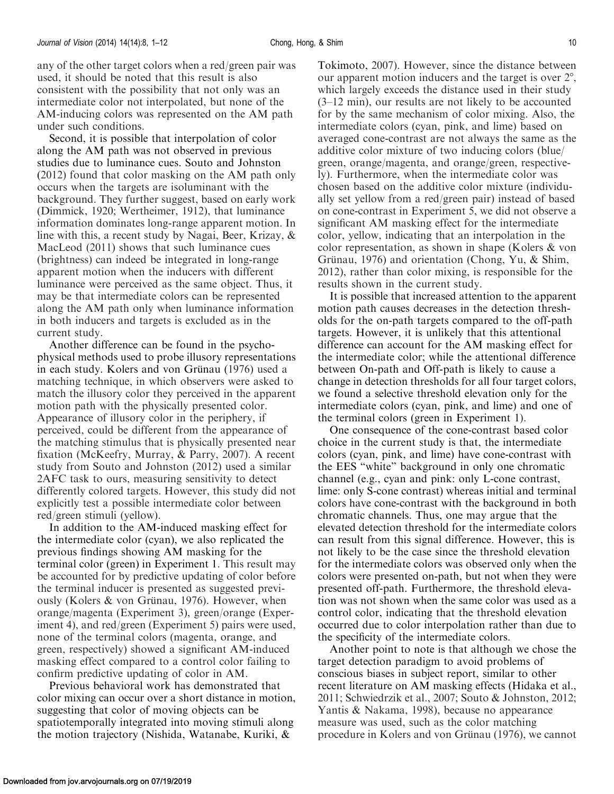any of the other target colors when a red/green pair was used, it should be noted that this result is also consistent with the possibility that not only was an intermediate color not interpolated, but none of the AM-inducing colors was represented on the AM path under such conditions.

Second, it is possible that interpolation of color along the AM path was not observed in previous studies due to luminance cues. Souto and Johnston ([2012\)](#page-12-0) found that color masking on the AM path only occurs when the targets are isoluminant with the background. They further suggest, based on early work (Dimmick, [1920;](#page-11-0) Wertheimer, [1912](#page-12-0)), that luminance information dominates long-range apparent motion. In line with this, a recent study by Nagai, Beer, Krizay, & MacLeod ([2011](#page-12-0)) shows that such luminance cues (brightness) can indeed be integrated in long-range apparent motion when the inducers with different luminance were perceived as the same object. Thus, it may be that intermediate colors can be represented along the AM path only when luminance information in both inducers and targets is excluded as in the current study.

Another difference can be found in the psychophysical methods used to probe illusory representations in each study. Kolers and von Grünau [\(1976](#page-12-0)) used a matching technique, in which observers were asked to match the illusory color they perceived in the apparent motion path with the physically presented color. Appearance of illusory color in the periphery, if perceived, could be different from the appearance of the matching stimulus that is physically presented near fixation (McKeefry, Murray, & Parry, [2007\)](#page-12-0). A recent study from Souto and Johnston [\(2012](#page-12-0)) used a similar 2AFC task to ours, measuring sensitivity to detect differently colored targets. However, this study did not explicitly test a possible intermediate color between red/green stimuli (yellow).

In addition to the AM-induced masking effect for the intermediate color (cyan), we also replicated the previous findings showing AM masking for the terminal color (green) in [Experiment 1.](#page-4-0) This result may be accounted for by predictive updating of color before the terminal inducer is presented as suggested previously (Kolers  $&$  von Grünau, [1976](#page-12-0)). However, when orange/magenta ([Experiment 3](#page-6-0)), green/orange ([Exper](#page-7-0)[iment 4\)](#page-7-0), and red/green ([Experiment 5](#page-8-0)) pairs were used, none of the terminal colors (magenta, orange, and green, respectively) showed a significant AM-induced masking effect compared to a control color failing to confirm predictive updating of color in AM.

Previous behavioral work has demonstrated that color mixing can occur over a short distance in motion, suggesting that color of moving objects can be spatiotemporally integrated into moving stimuli along the motion trajectory (Nishida, Watanabe, Kuriki, &

Tokimoto, [2007](#page-12-0)). However, since the distance between our apparent motion inducers and the target is over  $2^{\circ}$ , which largely exceeds the distance used in their study (3–12 min), our results are not likely to be accounted for by the same mechanism of color mixing. Also, the intermediate colors (cyan, pink, and lime) based on averaged cone-contrast are not always the same as the additive color mixture of two inducing colors (blue/ green, orange/magenta, and orange/green, respectively). Furthermore, when the intermediate color was chosen based on the additive color mixture (individually set yellow from a red/green pair) instead of based on cone-contrast in [Experiment 5,](#page-8-0) we did not observe a significant AM masking effect for the intermediate color, yellow, indicating that an interpolation in the color representation, as shown in shape (Kolers & von Grünau, [1976\)](#page-12-0) and orientation (Chong, Yu, & Shim, [2012\)](#page-11-0), rather than color mixing, is responsible for the results shown in the current study.

It is possible that increased attention to the apparent motion path causes decreases in the detection thresholds for the on-path targets compared to the off-path targets. However, it is unlikely that this attentional difference can account for the AM masking effect for the intermediate color; while the attentional difference between On-path and Off-path is likely to cause a change in detection thresholds for all four target colors, we found a selective threshold elevation only for the intermediate colors (cyan, pink, and lime) and one of the terminal colors (green in [Experiment 1](#page-4-0)).

One consequence of the cone-contrast based color choice in the current study is that, the intermediate colors (cyan, pink, and lime) have cone-contrast with the EES ''white'' background in only one chromatic channel (e.g., cyan and pink: only L-cone contrast, lime: only S-cone contrast) whereas initial and terminal colors have cone-contrast with the background in both chromatic channels. Thus, one may argue that the elevated detection threshold for the intermediate colors can result from this signal difference. However, this is not likely to be the case since the threshold elevation for the intermediate colors was observed only when the colors were presented on-path, but not when they were presented off-path. Furthermore, the threshold elevation was not shown when the same color was used as a control color, indicating that the threshold elevation occurred due to color interpolation rather than due to the specificity of the intermediate colors.

Another point to note is that although we chose the target detection paradigm to avoid problems of conscious biases in subject report, similar to other recent literature on AM masking effects (Hidaka et al., [2011;](#page-11-0) Schwiedrzik et al., [2007](#page-12-0); Souto & Johnston, [2012](#page-12-0); Yantis & Nakama, [1998](#page-12-0)), because no appearance measure was used, such as the color matching procedure in Kolers and von Grünau [\(1976](#page-12-0)), we cannot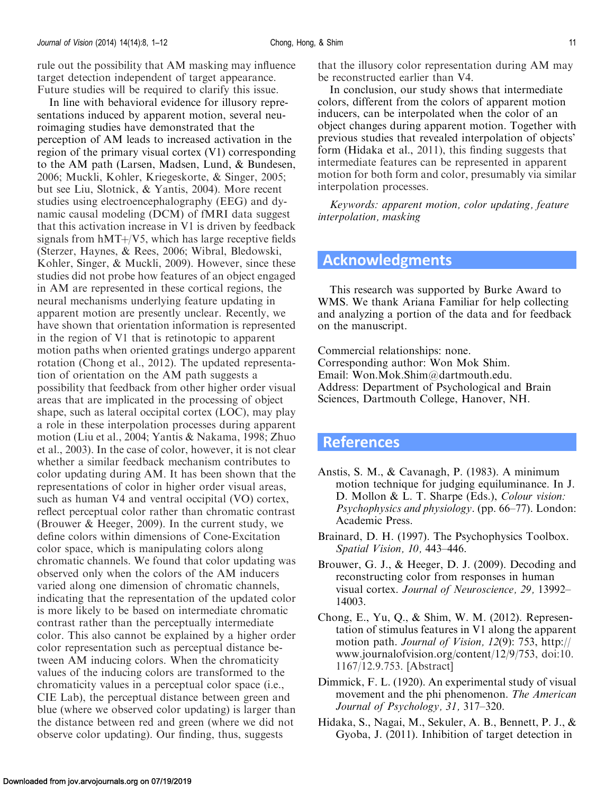<span id="page-11-0"></span>In line with behavioral evidence for illusory representations induced by apparent motion, several neuroimaging studies have demonstrated that the perception of AM leads to increased activation in the region of the primary visual cortex (V1) corresponding to the AM path (Larsen, Madsen, Lund, & Bundesen, [2006;](#page-12-0) Muckli, Kohler, Kriegeskorte, & Singer, [2005](#page-12-0); but see Liu, Slotnick, & Yantis, [2004](#page-12-0)). More recent studies using electroencephalography (EEG) and dynamic causal modeling (DCM) of fMRI data suggest that this activation increase in V1 is driven by feedback signals from  $hMT + / V5$ , which has large receptive fields (Sterzer, Haynes, & Rees, [2006](#page-12-0); Wibral, Bledowski, Kohler, Singer, & Muckli, [2009](#page-12-0)). However, since these studies did not probe how features of an object engaged in AM are represented in these cortical regions, the neural mechanisms underlying feature updating in apparent motion are presently unclear. Recently, we have shown that orientation information is represented in the region of V1 that is retinotopic to apparent motion paths when oriented gratings undergo apparent rotation (Chong et al., 2012). The updated representation of orientation on the AM path suggests a possibility that feedback from other higher order visual areas that are implicated in the processing of object shape, such as lateral occipital cortex (LOC), may play a role in these interpolation processes during apparent motion (Liu et al., [2004;](#page-12-0) Yantis & Nakama, [1998](#page-12-0); Zhuo et al., [2003](#page-12-0)). In the case of color, however, it is not clear whether a similar feedback mechanism contributes to color updating during AM. It has been shown that the representations of color in higher order visual areas, such as human V4 and ventral occipital (VO) cortex, reflect perceptual color rather than chromatic contrast (Brouwer & Heeger, 2009). In the current study, we define colors within dimensions of Cone-Excitation color space, which is manipulating colors along chromatic channels. We found that color updating was observed only when the colors of the AM inducers varied along one dimension of chromatic channels, indicating that the representation of the updated color is more likely to be based on intermediate chromatic contrast rather than the perceptually intermediate color. This also cannot be explained by a higher order color representation such as perceptual distance between AM inducing colors. When the chromaticity values of the inducing colors are transformed to the chromaticity values in a perceptual color space (i.e., CIE Lab), the perceptual distance between green and blue (where we observed color updating) is larger than the distance between red and green (where we did not observe color updating). Our finding, thus, suggests

that the illusory color representation during AM may be reconstructed earlier than V4.

In conclusion, our study shows that intermediate colors, different from the colors of apparent motion inducers, can be interpolated when the color of an object changes during apparent motion. Together with previous studies that revealed interpolation of objects' form (Hidaka et al., 2011), this finding suggests that intermediate features can be represented in apparent motion for both form and color, presumably via similar interpolation processes.

Keywords: apparent motion, color updating, feature interpolation, masking

## Acknowledgments

This research was supported by Burke Award to WMS. We thank Ariana Familiar for help collecting and analyzing a portion of the data and for feedback on the manuscript.

Commercial relationships: none. Corresponding author: Won Mok Shim. Email: Won.Mok.Shim@dartmouth.edu. Address: Department of Psychological and Brain Sciences, Dartmouth College, Hanover, NH.

## References

- Anstis, S. M., & Cavanagh, P. (1983). A minimum motion technique for judging equiluminance. In J. D. Mollon & L. T. Sharpe (Eds.), Colour vision: Psychophysics and physiology. (pp. 66–77). London: Academic Press.
- Brainard, D. H. (1997). The Psychophysics Toolbox. Spatial Vision, 10, 443–446.
- Brouwer, G. J., & Heeger, D. J. (2009). Decoding and reconstructing color from responses in human visual cortex. Journal of Neuroscience, 29, 13992– 14003.
- Chong, E., Yu, Q., & Shim, W. M. (2012). Representation of stimulus features in V1 along the apparent motion path. Journal of Vision, 12(9): 753, http:// www.journalofvision.org/content/12/9/753, doi:10. 1167/12.9.753. [[Abstract](http://www.journalofvision.org/content/12/9/753)]
- Dimmick, F. L. (1920). An experimental study of visual movement and the phi phenomenon. The American Journal of Psychology, 31, 317–320.
- Hidaka, S., Nagai, M., Sekuler, A. B., Bennett, P. J., & Gyoba, J. (2011). Inhibition of target detection in